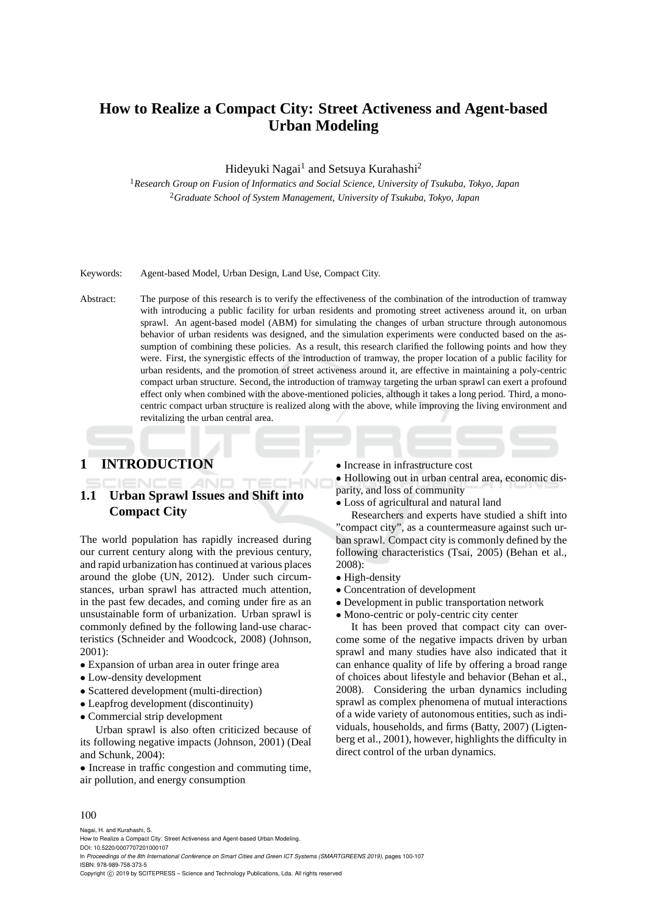# **How to Realize a Compact City: Street Activeness and Agent-based Urban Modeling**

Hideyuki Nagai<sup>1</sup> and Setsuya Kurahashi<sup>2</sup>

<sup>1</sup>*Research Group on Fusion of Informatics and Social Science, University of Tsukuba, Tokyo, Japan* <sup>2</sup>*Graduate School of System Management, University of Tsukuba, Tokyo, Japan*

Keywords: Agent-based Model, Urban Design, Land Use, Compact City.

Abstract: The purpose of this research is to verify the effectiveness of the combination of the introduction of tramway with introducing a public facility for urban residents and promoting street activeness around it, on urban sprawl. An agent-based model (ABM) for simulating the changes of urban structure through autonomous behavior of urban residents was designed, and the simulation experiments were conducted based on the assumption of combining these policies. As a result, this research clarified the following points and how they were. First, the synergistic effects of the introduction of tramway, the proper location of a public facility for urban residents, and the promotion of street activeness around it, are effective in maintaining a poly-centric compact urban structure. Second, the introduction of tramway targeting the urban sprawl can exert a profound effect only when combined with the above-mentioned policies, although it takes a long period. Third, a monocentric compact urban structure is realized along with the above, while improving the living environment and revitalizing the urban central area.

# **1 INTRODUCTION**

# **1.1 Urban Sprawl Issues and Shift into Compact City**

The world population has rapidly increased during our current century along with the previous century, and rapid urbanization has continued at various places around the globe (UN, 2012). Under such circumstances, urban sprawl has attracted much attention, in the past few decades, and coming under fire as an unsustainable form of urbanization. Urban sprawl is commonly defined by the following land-use characteristics (Schneider and Woodcock, 2008) (Johnson, 2001):

- Expansion of urban area in outer fringe area
- Low-density development
- Scattered development (multi-direction)
- Leapfrog development (discontinuity)
- Commercial strip development

Urban sprawl is also often criticized because of its following negative impacts (Johnson, 2001) (Deal and Schunk, 2004):

• Increase in traffic congestion and commuting time, air pollution, and energy consumption

• Increase in infrastructure cost

• Hollowing out in urban central area, economic disparity, and loss of community

• Loss of agricultural and natural land

Researchers and experts have studied a shift into "compact city", as a countermeasure against such urban sprawl. Compact city is commonly defined by the following characteristics (Tsai, 2005) (Behan et al., 2008):

- High-density
- Concentration of development
- Development in public transportation network
- Mono-centric or poly-centric city center

It has been proved that compact city can overcome some of the negative impacts driven by urban sprawl and many studies have also indicated that it can enhance quality of life by offering a broad range of choices about lifestyle and behavior (Behan et al., 2008). Considering the urban dynamics including sprawl as complex phenomena of mutual interactions of a wide variety of autonomous entities, such as individuals, households, and firms (Batty, 2007) (Ligtenberg et al., 2001), however, highlights the difficulty in direct control of the urban dynamics.

#### 100

Nagai, H. and Kurahashi, S.

How to Realize a Compact City: Street Activeness and Agent-based Urban Modeling.

DOI: 10.5220/0007707201000107

In *Proceedings of the 8th International Conference on Smart Cities and Green ICT Systems (SMARTGREENS 2019)*, pages 100-107 ISBN: 978-989-758-373-5

Copyright (C) 2019 by SCITEPRESS - Science and Technology Publications, Lda. All rights reserved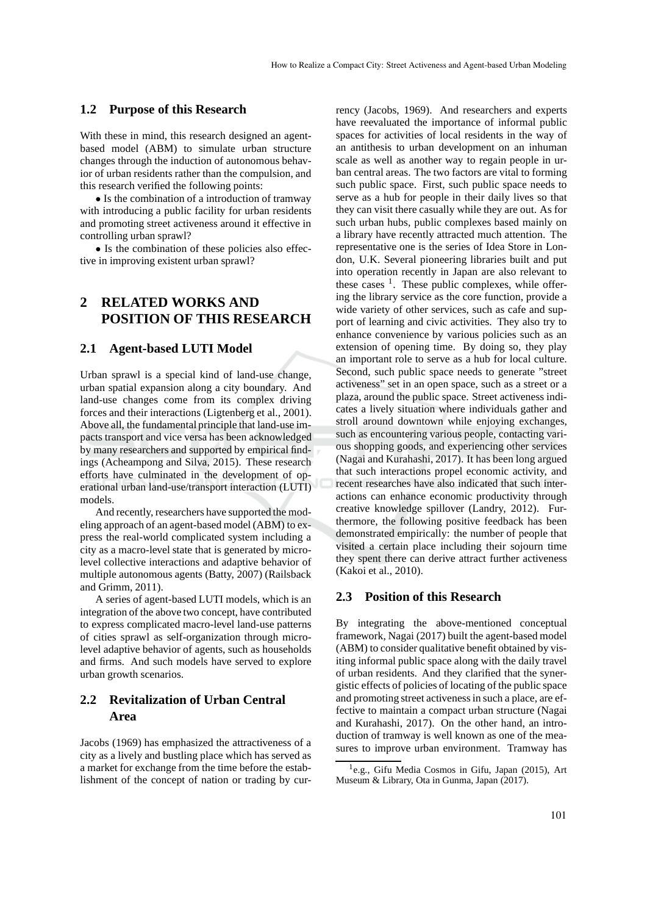### **1.2 Purpose of this Research**

With these in mind, this research designed an agentbased model (ABM) to simulate urban structure changes through the induction of autonomous behavior of urban residents rather than the compulsion, and this research verified the following points:

• Is the combination of a introduction of tramway with introducing a public facility for urban residents and promoting street activeness around it effective in controlling urban sprawl?

• Is the combination of these policies also effective in improving existent urban sprawl?

# **2 RELATED WORKS AND POSITION OF THIS RESEARCH**

#### **2.1 Agent-based LUTI Model**

Urban sprawl is a special kind of land-use change, urban spatial expansion along a city boundary. And land-use changes come from its complex driving forces and their interactions (Ligtenberg et al., 2001). Above all, the fundamental principle that land-use impacts transport and vice versa has been acknowledged by many researchers and supported by empirical findings (Acheampong and Silva, 2015). These research efforts have culminated in the development of operational urban land-use/transport interaction (LUTI) models.

And recently, researchers have supported the modeling approach of an agent-based model (ABM) to express the real-world complicated system including a city as a macro-level state that is generated by microlevel collective interactions and adaptive behavior of multiple autonomous agents (Batty, 2007) (Railsback and Grimm, 2011).

A series of agent-based LUTI models, which is an integration of the above two concept, have contributed to express complicated macro-level land-use patterns of cities sprawl as self-organization through microlevel adaptive behavior of agents, such as households and firms. And such models have served to explore urban growth scenarios.

# **2.2 Revitalization of Urban Central Area**

Jacobs (1969) has emphasized the attractiveness of a city as a lively and bustling place which has served as a market for exchange from the time before the establishment of the concept of nation or trading by cur-

rency (Jacobs, 1969). And researchers and experts have reevaluated the importance of informal public spaces for activities of local residents in the way of an antithesis to urban development on an inhuman scale as well as another way to regain people in urban central areas. The two factors are vital to forming such public space. First, such public space needs to serve as a hub for people in their daily lives so that they can visit there casually while they are out. As for such urban hubs, public complexes based mainly on a library have recently attracted much attention. The representative one is the series of Idea Store in London, U.K. Several pioneering libraries built and put into operation recently in Japan are also relevant to these cases <sup>1</sup>. These public complexes, while offering the library service as the core function, provide a wide variety of other services, such as cafe and support of learning and civic activities. They also try to enhance convenience by various policies such as an extension of opening time. By doing so, they play an important role to serve as a hub for local culture. Second, such public space needs to generate "street activeness" set in an open space, such as a street or a plaza, around the public space. Street activeness indicates a lively situation where individuals gather and stroll around downtown while enjoying exchanges, such as encountering various people, contacting various shopping goods, and experiencing other services (Nagai and Kurahashi, 2017). It has been long argued that such interactions propel economic activity, and recent researches have also indicated that such interactions can enhance economic productivity through creative knowledge spillover (Landry, 2012). Furthermore, the following positive feedback has been demonstrated empirically: the number of people that visited a certain place including their sojourn time they spent there can derive attract further activeness (Kakoi et al., 2010).

### **2.3 Position of this Research**

By integrating the above-mentioned conceptual framework, Nagai (2017) built the agent-based model (ABM) to consider qualitative benefit obtained by visiting informal public space along with the daily travel of urban residents. And they clarified that the synergistic effects of policies of locating of the public space and promoting street activeness in such a place, are effective to maintain a compact urban structure (Nagai and Kurahashi, 2017). On the other hand, an introduction of tramway is well known as one of the measures to improve urban environment. Tramway has

<sup>1</sup> e.g., Gifu Media Cosmos in Gifu, Japan (2015), Art Museum & Library, Ota in Gunma, Japan (2017).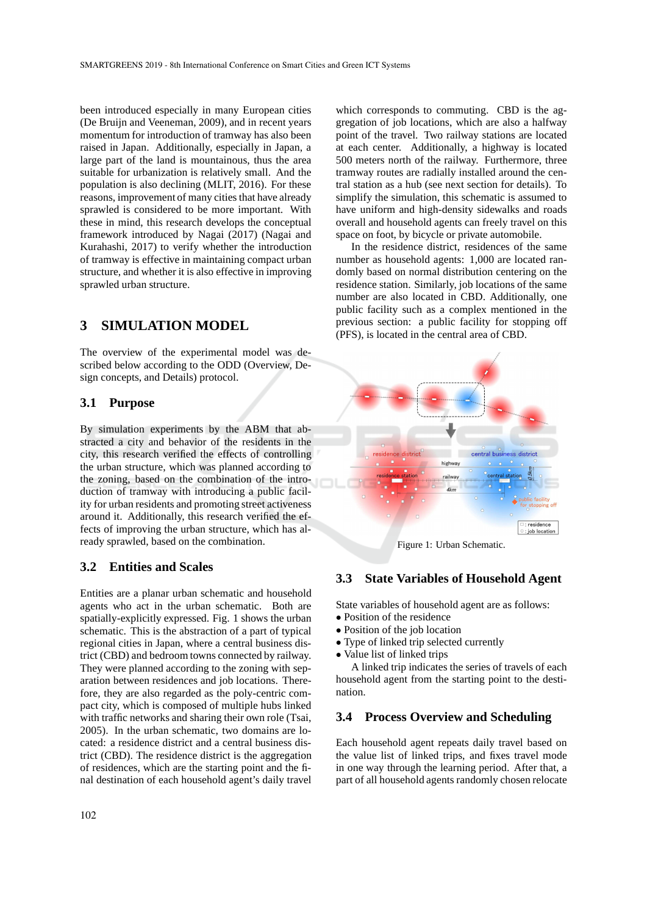been introduced especially in many European cities (De Bruijn and Veeneman, 2009), and in recent years momentum for introduction of tramway has also been raised in Japan. Additionally, especially in Japan, a large part of the land is mountainous, thus the area suitable for urbanization is relatively small. And the population is also declining (MLIT, 2016). For these reasons, improvement of many cities that have already sprawled is considered to be more important. With these in mind, this research develops the conceptual framework introduced by Nagai (2017) (Nagai and Kurahashi, 2017) to verify whether the introduction of tramway is effective in maintaining compact urban structure, and whether it is also effective in improving sprawled urban structure.

## **3 SIMULATION MODEL**

The overview of the experimental model was described below according to the ODD (Overview, Design concepts, and Details) protocol.

#### **3.1 Purpose**

By simulation experiments by the ABM that abstracted a city and behavior of the residents in the city, this research verified the effects of controlling the urban structure, which was planned according to the zoning, based on the combination of the introduction of tramway with introducing a public facility for urban residents and promoting street activeness around it. Additionally, this research verified the effects of improving the urban structure, which has already sprawled, based on the combination.

### **3.2 Entities and Scales**

Entities are a planar urban schematic and household agents who act in the urban schematic. Both are spatially-explicitly expressed. Fig. 1 shows the urban schematic. This is the abstraction of a part of typical regional cities in Japan, where a central business district (CBD) and bedroom towns connected by railway. They were planned according to the zoning with separation between residences and job locations. Therefore, they are also regarded as the poly-centric compact city, which is composed of multiple hubs linked with traffic networks and sharing their own role (Tsai, 2005). In the urban schematic, two domains are located: a residence district and a central business district (CBD). The residence district is the aggregation of residences, which are the starting point and the final destination of each household agent's daily travel

which corresponds to commuting. CBD is the aggregation of job locations, which are also a halfway point of the travel. Two railway stations are located at each center. Additionally, a highway is located 500 meters north of the railway. Furthermore, three tramway routes are radially installed around the central station as a hub (see next section for details). To simplify the simulation, this schematic is assumed to have uniform and high-density sidewalks and roads overall and household agents can freely travel on this space on foot, by bicycle or private automobile.

In the residence district, residences of the same number as household agents: 1,000 are located randomly based on normal distribution centering on the residence station. Similarly, job locations of the same number are also located in CBD. Additionally, one public facility such as a complex mentioned in the previous section: a public facility for stopping off (PFS), is located in the central area of CBD.



Figure 1: Urban Schematic.

## **3.3 State Variables of Household Agent**

State variables of household agent are as follows:

- Position of the residence
- Position of the job location
- Type of linked trip selected currently
- Value list of linked trips

A linked trip indicates the series of travels of each household agent from the starting point to the destination.

### **3.4 Process Overview and Scheduling**

Each household agent repeats daily travel based on the value list of linked trips, and fixes travel mode in one way through the learning period. After that, a part of all household agents randomly chosen relocate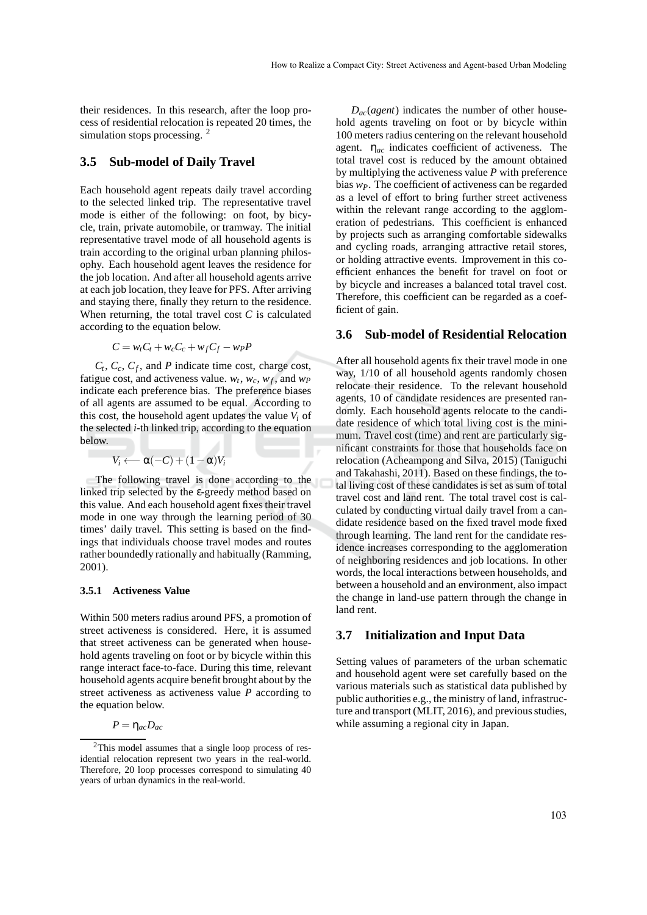their residences. In this research, after the loop process of residential relocation is repeated 20 times, the simulation stops processing. <sup>2</sup>

### **3.5 Sub-model of Daily Travel**

Each household agent repeats daily travel according to the selected linked trip. The representative travel mode is either of the following: on foot, by bicycle, train, private automobile, or tramway. The initial representative travel mode of all household agents is train according to the original urban planning philosophy. Each household agent leaves the residence for the job location. And after all household agents arrive at each job location, they leave for PFS. After arriving and staying there, finally they return to the residence. When returning, the total travel cost  $C$  is calculated according to the equation below.

$$
C = wtCt + wcCc + wfCf - wPP
$$

 $C_t$ ,  $C_c$ ,  $C_f$ , and *P* indicate time cost, charge cost, fatigue cost, and activeness value.  $w_t$ ,  $w_c$ ,  $w_f$ , and  $w_p$ indicate each preference bias. The preference biases of all agents are assumed to be equal. According to this cost, the household agent updates the value  $V_i$  of the selected *i*-th linked trip, according to the equation below.

$$
V_i \longleftarrow \alpha(-C) + (1-\alpha)V_i
$$

The following travel is done according to the linked trip selected by the ε-greedy method based on this value. And each household agent fixes their travel mode in one way through the learning period of 30 times' daily travel. This setting is based on the findings that individuals choose travel modes and routes rather boundedly rationally and habitually (Ramming, 2001).

#### **3.5.1 Activeness Value**

Within 500 meters radius around PFS, a promotion of street activeness is considered. Here, it is assumed that street activeness can be generated when household agents traveling on foot or by bicycle within this range interact face-to-face. During this time, relevant household agents acquire benefit brought about by the street activeness as activeness value *P* according to the equation below.

$$
P=\eta_{ac}D_{ac}
$$

*Dac*(*agent*) indicates the number of other household agents traveling on foot or by bicycle within 100 meters radius centering on the relevant household agent. η*ac* indicates coefficient of activeness. The total travel cost is reduced by the amount obtained by multiplying the activeness value *P* with preference bias *wP*. The coefficient of activeness can be regarded as a level of effort to bring further street activeness within the relevant range according to the agglomeration of pedestrians. This coefficient is enhanced by projects such as arranging comfortable sidewalks and cycling roads, arranging attractive retail stores, or holding attractive events. Improvement in this coefficient enhances the benefit for travel on foot or by bicycle and increases a balanced total travel cost. Therefore, this coefficient can be regarded as a coefficient of gain.

#### **3.6 Sub-model of Residential Relocation**

After all household agents fix their travel mode in one way, 1/10 of all household agents randomly chosen relocate their residence. To the relevant household agents, 10 of candidate residences are presented randomly. Each household agents relocate to the candidate residence of which total living cost is the minimum. Travel cost (time) and rent are particularly significant constraints for those that households face on relocation (Acheampong and Silva, 2015) (Taniguchi and Takahashi, 2011). Based on these findings, the total living cost of these candidates is set as sum of total travel cost and land rent. The total travel cost is calculated by conducting virtual daily travel from a candidate residence based on the fixed travel mode fixed through learning. The land rent for the candidate residence increases corresponding to the agglomeration of neighboring residences and job locations. In other words, the local interactions between households, and between a household and an environment, also impact the change in land-use pattern through the change in land rent.

### **3.7 Initialization and Input Data**

Setting values of parameters of the urban schematic and household agent were set carefully based on the various materials such as statistical data published by public authorities e.g., the ministry of land, infrastructure and transport (MLIT, 2016), and previous studies, while assuming a regional city in Japan.

<sup>2</sup>This model assumes that a single loop process of residential relocation represent two years in the real-world. Therefore, 20 loop processes correspond to simulating 40 years of urban dynamics in the real-world.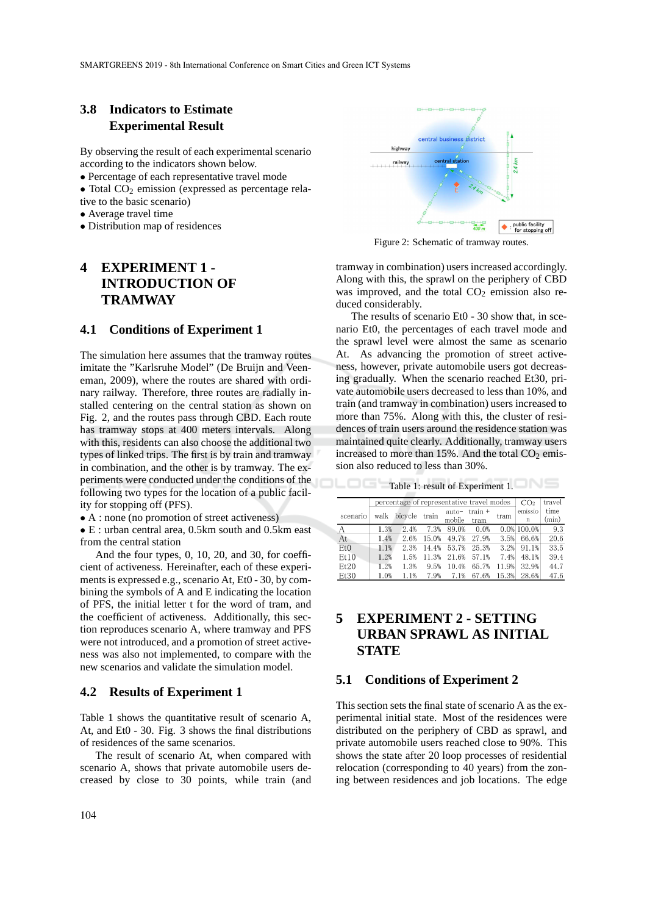## **3.8 Indicators to Estimate Experimental Result**

By observing the result of each experimental scenario according to the indicators shown below.

- Percentage of each representative travel mode
- Total  $CO<sub>2</sub>$  emission (expressed as percentage rela-
- tive to the basic scenario)
- Average travel time
- Distribution map of residences

# **4 EXPERIMENT 1 - INTRODUCTION OF TRAMWAY**

### **4.1 Conditions of Experiment 1**

The simulation here assumes that the tramway routes imitate the "Karlsruhe Model" (De Bruijn and Veeneman, 2009), where the routes are shared with ordinary railway. Therefore, three routes are radially installed centering on the central station as shown on Fig. 2, and the routes pass through CBD. Each route has tramway stops at 400 meters intervals. Along with this, residents can also choose the additional two types of linked trips. The first is by train and tramway in combination, and the other is by tramway. The experiments were conducted under the conditions of the following two types for the location of a public facility for stopping off (PFS).

• A : none (no promotion of street activeness)

• E : urban central area, 0.5km south and 0.5km east from the central station

And the four types, 0, 10, 20, and 30, for coefficient of activeness. Hereinafter, each of these experiments is expressed e.g., scenario At, Et0 - 30, by combining the symbols of A and E indicating the location of PFS, the initial letter t for the word of tram, and the coefficient of activeness. Additionally, this section reproduces scenario A, where tramway and PFS were not introduced, and a promotion of street activeness was also not implemented, to compare with the new scenarios and validate the simulation model.

#### **4.2 Results of Experiment 1**

Table 1 shows the quantitative result of scenario A, At, and Et0 - 30. Fig. 3 shows the final distributions of residences of the same scenarios.

The result of scenario At, when compared with scenario A, shows that private automobile users decreased by close to 30 points, while train (and



Figure 2: Schematic of tramway routes.

tramway in combination) users increased accordingly. Along with this, the sprawl on the periphery of CBD was improved, and the total  $CO<sub>2</sub>$  emission also reduced considerably.

The results of scenario Et0 - 30 show that, in scenario Et0, the percentages of each travel mode and the sprawl level were almost the same as scenario At. As advancing the promotion of street activeness, however, private automobile users got decreasing gradually. When the scenario reached Et30, private automobile users decreased to less than 10%, and train (and tramway in combination) users increased to more than 75%. Along with this, the cluster of residences of train users around the residence station was maintained quite clearly. Additionally, tramway users increased to more than 15%. And the total  $CO<sub>2</sub>$  emission also reduced to less than 30%.

Table 1: result of Experiment 1.

|                 | percentage of representative travel modes | CO <sub>2</sub> | travel |                   |                   |       |                |               |
|-----------------|-------------------------------------------|-----------------|--------|-------------------|-------------------|-------|----------------|---------------|
| scenario        | walk                                      | bicycle train   |        | $auto-$<br>mobile | $train +$<br>tram | tram  | emissio<br>n   | time<br>(min) |
| А               | 1.3%                                      | 2.4%            | 7.3%   | 89.0%             | 0.0%              |       | $0.0\%$ 100.0% | 9.3           |
| At              | 1.4%                                      | 2.6%            | 15.0%  | 49.7%             | 27.9%             | 3.5%  | 66.6%          | 20.6          |
| Et <sub>0</sub> | 1.1%                                      | 2.3%            | 14.4%  | 53.7%             | 25.3%             | 3.2%  | 91.1%          | 33.5          |
| Et10            | 1.2%                                      | 1.5%            | 11.3%  | 21.6%             | 57.1%             | 7.4%  | 48.1%          | 39.4          |
| Et20            | 1.2%                                      | 1.3%            | 9.5%   | 10.4%             | 65.7%             | 11.9% | 32.9%          | 44.7          |
| Et30            | 1.0%                                      | 1.1%            | 7.9%   | 7.1%              | 67.6%             | 15.3% | 28.6%          | 47.6          |

# **5 EXPERIMENT 2 - SETTING URBAN SPRAWL AS INITIAL STATE**

#### **5.1 Conditions of Experiment 2**

This section sets the final state of scenario A as the experimental initial state. Most of the residences were distributed on the periphery of CBD as sprawl, and private automobile users reached close to 90%. This shows the state after 20 loop processes of residential relocation (corresponding to 40 years) from the zoning between residences and job locations. The edge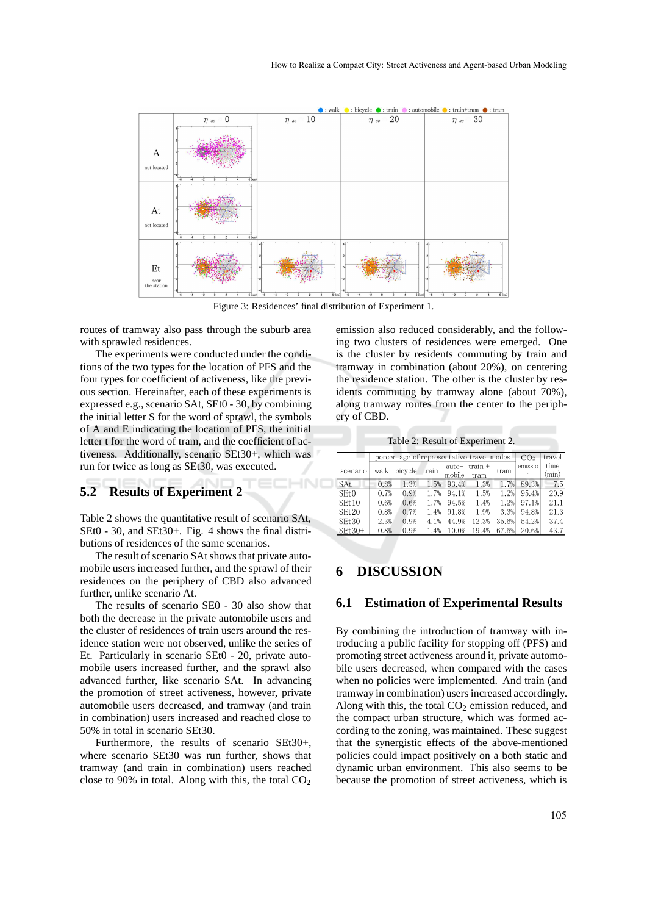

Figure 3: Residences' final distribution of Experiment 1.

HNO

routes of tramway also pass through the suburb area with sprawled residences.

The experiments were conducted under the conditions of the two types for the location of PFS and the four types for coefficient of activeness, like the previous section. Hereinafter, each of these experiments is expressed e.g., scenario SAt, SEt0 - 30, by combining the initial letter S for the word of sprawl, the symbols of A and E indicating the location of PFS, the initial letter t for the word of tram, and the coefficient of activeness. Additionally, scenario SEt30+, which was run for twice as long as SEt30, was executed.

## **5.2 Results of Experiment 2**

Table 2 shows the quantitative result of scenario SAt, SEt0 - 30, and SEt30+. Fig. 4 shows the final distributions of residences of the same scenarios.

The result of scenario SAt shows that private automobile users increased further, and the sprawl of their residences on the periphery of CBD also advanced further, unlike scenario At.

The results of scenario SE0 - 30 also show that both the decrease in the private automobile users and the cluster of residences of train users around the residence station were not observed, unlike the series of Et. Particularly in scenario SEt0 - 20, private automobile users increased further, and the sprawl also advanced further, like scenario SAt. In advancing the promotion of street activeness, however, private automobile users decreased, and tramway (and train in combination) users increased and reached close to 50% in total in scenario SEt30.

Furthermore, the results of scenario SEt30+, where scenario SEt30 was run further, shows that tramway (and train in combination) users reached close to 90% in total. Along with this, the total  $CO<sub>2</sub>$ 

emission also reduced considerably, and the following two clusters of residences were emerged. One is the cluster by residents commuting by train and tramway in combination (about 20%), on centering the residence station. The other is the cluster by residents commuting by tramway alone (about 70%), along tramway routes from the center to the periphery of CBD.

Table 2: Result of Experiment 2.

|            | percentage of representative travel modes | CO <sub>2</sub> | travel |                   |                 |       |              |               |
|------------|-------------------------------------------|-----------------|--------|-------------------|-----------------|-------|--------------|---------------|
| scenario   | walk                                      | bicycle         | train  | $auto-$<br>mobile | train +<br>tram | tram  | emissio<br>n | time<br>(min) |
| <b>SAt</b> | 0.8%                                      | 1.3%            | 1.5%   | 93.4%             | 1.3%            | 1.7%  | 89.3%        | 7.5           |
| SEt0       | 0.7%                                      | 0.9%            | 1.7%   | 94.1%             | 1.5%            | 1.2%  | 95.4%        | 20.9          |
| SEt10      | 0.6%                                      | 0.6%            | 1.7%   | 94.5%             | 1.4%            | 1.2%  | 97.1%        | 21.1          |
| SEt20      | 0.8%                                      | 0.7%            | 1.4%   | 91.8%             | 1.9%            | 3.3%  | 94.8%        | 21.3          |
| SEt30      | 2.3%                                      | 0.9%            | 4.1%   | 44.9%             | 12.3%           | 35.6% | 54.2%        | 37.4          |
| $SEt30+$   | 0.8%                                      | 0.9%            | 1.4%   | 10.0%             | 19.4%           | 67.5% | 20.6%        | 43.7          |

# **6 DISCUSSION**

### **6.1 Estimation of Experimental Results**

By combining the introduction of tramway with introducing a public facility for stopping off (PFS) and promoting street activeness around it, private automobile users decreased, when compared with the cases when no policies were implemented. And train (and tramway in combination) users increased accordingly. Along with this, the total  $CO<sub>2</sub>$  emission reduced, and the compact urban structure, which was formed according to the zoning, was maintained. These suggest that the synergistic effects of the above-mentioned policies could impact positively on a both static and dynamic urban environment. This also seems to be because the promotion of street activeness, which is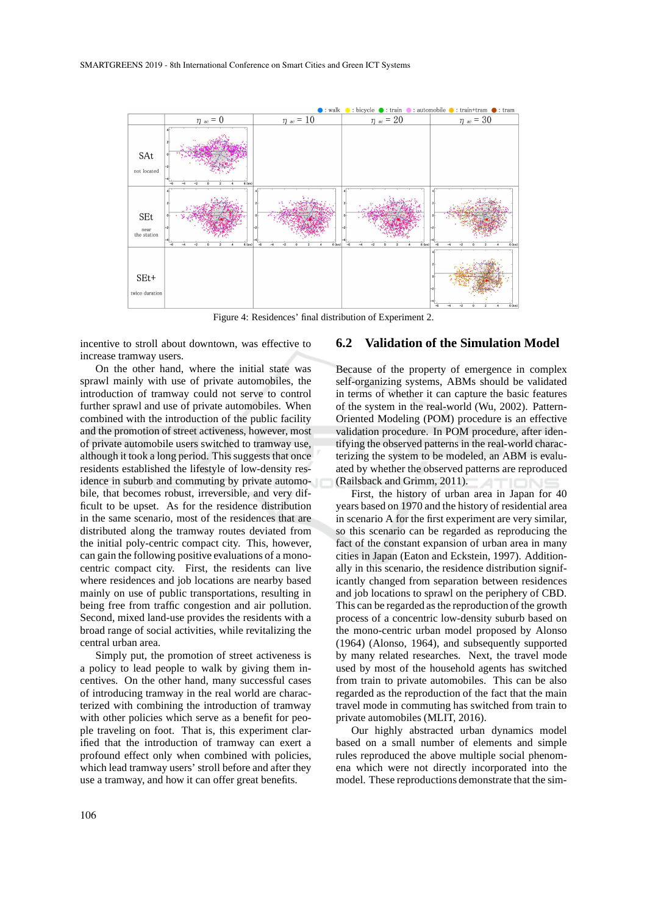

Figure 4: Residences' final distribution of Experiment 2.

incentive to stroll about downtown, was effective to increase tramway users.

On the other hand, where the initial state was sprawl mainly with use of private automobiles, the introduction of tramway could not serve to control further sprawl and use of private automobiles. When combined with the introduction of the public facility and the promotion of street activeness, however, most of private automobile users switched to tramway use, although it took a long period. This suggests that once residents established the lifestyle of low-density residence in suburb and commuting by private automobile, that becomes robust, irreversible, and very difficult to be upset. As for the residence distribution in the same scenario, most of the residences that are distributed along the tramway routes deviated from the initial poly-centric compact city. This, however, can gain the following positive evaluations of a monocentric compact city. First, the residents can live where residences and job locations are nearby based mainly on use of public transportations, resulting in being free from traffic congestion and air pollution. Second, mixed land-use provides the residents with a broad range of social activities, while revitalizing the central urban area.

Simply put, the promotion of street activeness is a policy to lead people to walk by giving them incentives. On the other hand, many successful cases of introducing tramway in the real world are characterized with combining the introduction of tramway with other policies which serve as a benefit for people traveling on foot. That is, this experiment clarified that the introduction of tramway can exert a profound effect only when combined with policies, which lead tramway users' stroll before and after they use a tramway, and how it can offer great benefits.

### **6.2 Validation of the Simulation Model**

Because of the property of emergence in complex self-organizing systems, ABMs should be validated in terms of whether it can capture the basic features of the system in the real-world (Wu, 2002). Pattern-Oriented Modeling (POM) procedure is an effective validation procedure. In POM procedure, after identifying the observed patterns in the real-world characterizing the system to be modeled, an ABM is evaluated by whether the observed patterns are reproduced (Railsback and Grimm, 2011).

First, the history of urban area in Japan for 40 years based on 1970 and the history of residential area in scenario A for the first experiment are very similar, so this scenario can be regarded as reproducing the fact of the constant expansion of urban area in many cities in Japan (Eaton and Eckstein, 1997). Additionally in this scenario, the residence distribution significantly changed from separation between residences and job locations to sprawl on the periphery of CBD. This can be regarded as the reproduction of the growth process of a concentric low-density suburb based on the mono-centric urban model proposed by Alonso (1964) (Alonso, 1964), and subsequently supported by many related researches. Next, the travel mode used by most of the household agents has switched from train to private automobiles. This can be also regarded as the reproduction of the fact that the main travel mode in commuting has switched from train to private automobiles (MLIT, 2016).

Our highly abstracted urban dynamics model based on a small number of elements and simple rules reproduced the above multiple social phenomena which were not directly incorporated into the model. These reproductions demonstrate that the sim